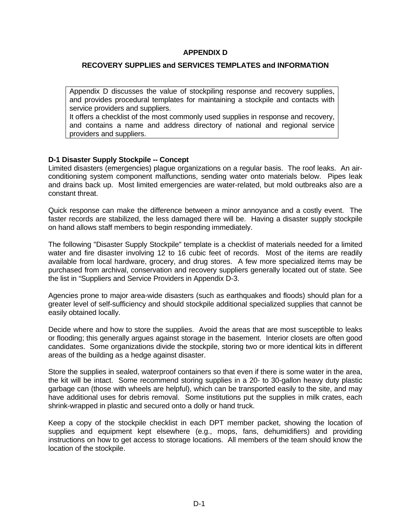# **APPENDIX D**

## **RECOVERY SUPPLIES and SERVICES TEMPLATES and INFORMATION**

Appendix D discusses the value of stockpiling response and recovery supplies, and provides procedural templates for maintaining a stockpile and contacts with service providers and suppliers.

It offers a checklist of the most commonly used supplies in response and recovery, and contains a name and address directory of national and regional service providers and suppliers.

### **D-1 Disaster Supply Stockpile -- Concept**

Limited disasters (emergencies) plague organizations on a regular basis. The roof leaks. An airconditioning system component malfunctions, sending water onto materials below. Pipes leak and drains back up. Most limited emergencies are water-related, but mold outbreaks also are a constant threat.

Quick response can make the difference between a minor annoyance and a costly event. The faster records are stabilized, the less damaged there will be. Having a disaster supply stockpile on hand allows staff members to begin responding immediately.

The following "Disaster Supply Stockpile" template is a checklist of materials needed for a limited water and fire disaster involving 12 to 16 cubic feet of records. Most of the items are readily available from local hardware, grocery, and drug stores. A few more specialized items may be purchased from archival, conservation and recovery suppliers generally located out of state. See the list in "Suppliers and Service Providers in Appendix D-3.

Agencies prone to major area-wide disasters (such as earthquakes and floods) should plan for a greater level of self-sufficiency and should stockpile additional specialized supplies that cannot be easily obtained locally.

Decide where and how to store the supplies. Avoid the areas that are most susceptible to leaks or flooding; this generally argues against storage in the basement. Interior closets are often good candidates. Some organizations divide the stockpile, storing two or more identical kits in different areas of the building as a hedge against disaster.

Store the supplies in sealed, waterproof containers so that even if there is some water in the area, the kit will be intact. Some recommend storing supplies in a 20- to 30-gallon heavy duty plastic garbage can (those with wheels are helpful), which can be transported easily to the site, and may have additional uses for debris removal. Some institutions put the supplies in milk crates, each shrink-wrapped in plastic and secured onto a dolly or hand truck.

Keep a copy of the stockpile checklist in each DPT member packet, showing the location of supplies and equipment kept elsewhere (e.g., mops, fans, dehumidifiers) and providing instructions on how to get access to storage locations. All members of the team should know the location of the stockpile.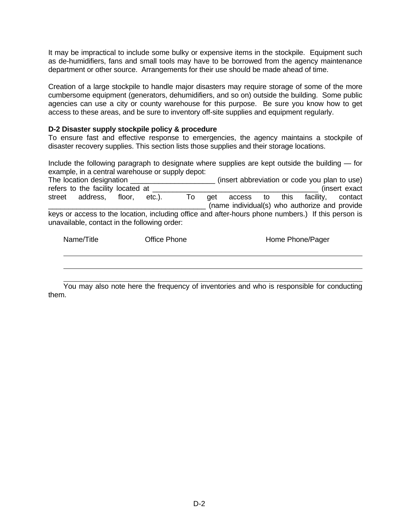It may be impractical to include some bulky or expensive items in the stockpile. Equipment such as de-humidifiers, fans and small tools may have to be borrowed from the agency maintenance department or other source. Arrangements for their use should be made ahead of time.

Creation of a large stockpile to handle major disasters may require storage of some of the more cumbersome equipment (generators, dehumidifiers, and so on) outside the building. Some public agencies can use a city or county warehouse for this purpose. Be sure you know how to get access to these areas, and be sure to inventory off-site supplies and equipment regularly.

## **D-2 Disaster supply stockpile policy & procedure**

To ensure fast and effective response to emergencies, the agency maintains a stockpile of disaster recovery supplies. This section lists those supplies and their storage locations.

Include the following paragraph to designate where supplies are kept outside the building — for example, in a central warehouse or supply depot:

| The location designation                                                                                                                           |              |    |     |        |    |      | (insert abbreviation or code you plan to use)              |               |
|----------------------------------------------------------------------------------------------------------------------------------------------------|--------------|----|-----|--------|----|------|------------------------------------------------------------|---------------|
| refers to the facility located at                                                                                                                  |              |    |     |        |    |      |                                                            | (insert exact |
| address,<br>floor,<br>street                                                                                                                       | $etc.$ ).    | To | aet | access | to | this | facility,<br>(name individual(s) who authorize and provide | contact       |
| keys or access to the location, including office and after-hours phone numbers.) If this person is<br>unavailable, contact in the following order: |              |    |     |        |    |      |                                                            |               |
| Name/Title                                                                                                                                         | Office Phone |    |     |        |    |      | Home Phone/Pager                                           |               |

 You may also note here the frequency of inventories and who is responsible for conducting them.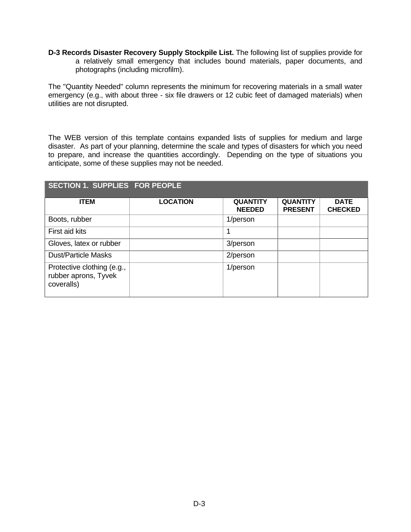**D-3 Records Disaster Recovery Supply Stockpile List.** The following list of supplies provide for a relatively small emergency that includes bound materials, paper documents, and photographs (including microfilm).

The "Quantity Needed" column represents the minimum for recovering materials in a small water emergency (e.g., with about three - six file drawers or 12 cubic feet of damaged materials) when utilities are not disrupted.

The WEB version of this template contains expanded lists of supplies for medium and large disaster. As part of your planning, determine the scale and types of disasters for which you need to prepare, and increase the quantities accordingly. Depending on the type of situations you anticipate, some of these supplies may not be needed.

| <b>SECTION 1. SUPPLIES FOR PEOPLE</b>                            |                 |                                  |                                   |                               |
|------------------------------------------------------------------|-----------------|----------------------------------|-----------------------------------|-------------------------------|
| <b>ITEM</b>                                                      | <b>LOCATION</b> | <b>QUANTITY</b><br><b>NEEDED</b> | <b>QUANTITY</b><br><b>PRESENT</b> | <b>DATE</b><br><b>CHECKED</b> |
| Boots, rubber                                                    |                 | 1/person                         |                                   |                               |
| First aid kits                                                   |                 |                                  |                                   |                               |
| Gloves, latex or rubber                                          |                 | 3/person                         |                                   |                               |
| <b>Dust/Particle Masks</b>                                       |                 | 2/person                         |                                   |                               |
| Protective clothing (e.g.,<br>rubber aprons, Tyvek<br>coveralls) |                 | 1/person                         |                                   |                               |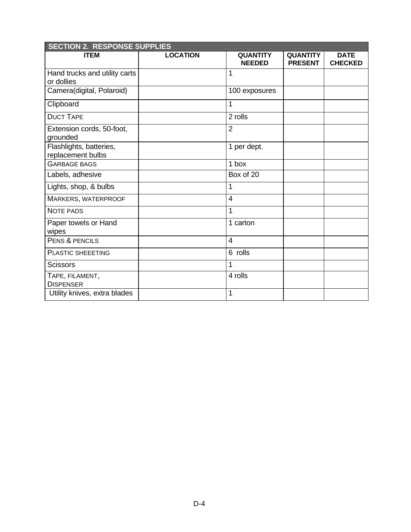| <b>SECTION 2. RESPONSE SUPPLIES</b>          |                 |                                  |                                   |                               |
|----------------------------------------------|-----------------|----------------------------------|-----------------------------------|-------------------------------|
| <b>ITEM</b>                                  | <b>LOCATION</b> | <b>QUANTITY</b><br><b>NEEDED</b> | <b>QUANTITY</b><br><b>PRESENT</b> | <b>DATE</b><br><b>CHECKED</b> |
| Hand trucks and utility carts<br>or dollies  |                 | $\mathbf{1}$                     |                                   |                               |
| Camera(digital, Polaroid)                    |                 | 100 exposures                    |                                   |                               |
| Clipboard                                    |                 | 1                                |                                   |                               |
| <b>DUCT TAPE</b>                             |                 | 2 rolls                          |                                   |                               |
| Extension cords, 50-foot,<br>grounded        |                 | $\overline{2}$                   |                                   |                               |
| Flashlights, batteries,<br>replacement bulbs |                 | 1 per dept.                      |                                   |                               |
| <b>GARBAGE BAGS</b>                          |                 | 1 box                            |                                   |                               |
| Labels, adhesive                             |                 | Box of 20                        |                                   |                               |
| Lights, shop, & bulbs                        |                 | 1                                |                                   |                               |
| MARKERS, WATERPROOF                          |                 | $\overline{4}$                   |                                   |                               |
| <b>NOTE PADS</b>                             |                 | $\mathbf{1}$                     |                                   |                               |
| Paper towels or Hand<br>wipes                |                 | 1 carton                         |                                   |                               |
| PENS & PENCILS                               |                 | $\overline{4}$                   |                                   |                               |
| <b>PLASTIC SHEEETING</b>                     |                 | 6 rolls                          |                                   |                               |
| <b>Scissors</b>                              |                 | 1                                |                                   |                               |
| TAPE, FILAMENT,<br><b>DISPENSER</b>          |                 | 4 rolls                          |                                   |                               |
| Utility knives, extra blades                 |                 | 1                                |                                   |                               |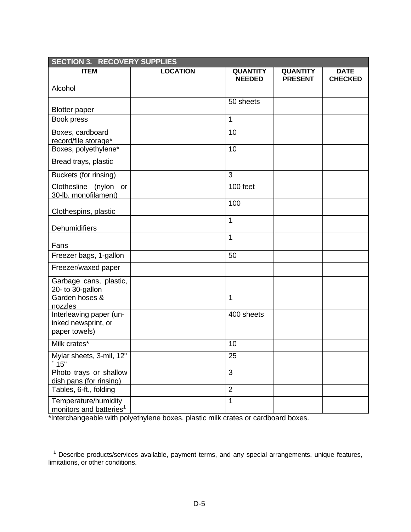| <b>SECTION 3. RECOVERY SUPPLIES</b>                             |                 |                                  |                                   |                               |
|-----------------------------------------------------------------|-----------------|----------------------------------|-----------------------------------|-------------------------------|
| <b>ITEM</b>                                                     | <b>LOCATION</b> | <b>QUANTITY</b><br><b>NEEDED</b> | <b>QUANTITY</b><br><b>PRESENT</b> | <b>DATE</b><br><b>CHECKED</b> |
| Alcohol                                                         |                 |                                  |                                   |                               |
| <b>Blotter paper</b>                                            |                 | 50 sheets                        |                                   |                               |
| Book press                                                      |                 | 1                                |                                   |                               |
| Boxes, cardboard<br>record/file storage*                        |                 | 10                               |                                   |                               |
| Boxes, polyethylene*                                            |                 | 10                               |                                   |                               |
| Bread trays, plastic                                            |                 |                                  |                                   |                               |
| Buckets (for rinsing)                                           |                 | 3                                |                                   |                               |
| Clothesline<br>(nylon<br>or<br>30-lb. monofilament)             |                 | 100 feet                         |                                   |                               |
| Clothespins, plastic                                            |                 | 100                              |                                   |                               |
| Dehumidifiers                                                   |                 | $\mathbf 1$                      |                                   |                               |
| Fans                                                            |                 | 1                                |                                   |                               |
| Freezer bags, 1-gallon                                          |                 | 50                               |                                   |                               |
| Freezer/waxed paper                                             |                 |                                  |                                   |                               |
| Garbage cans, plastic,<br>20- to 30-gallon                      |                 |                                  |                                   |                               |
| Garden hoses &<br>nozzles                                       |                 | 1                                |                                   |                               |
| Interleaving paper (un-<br>inked newsprint, or<br>paper towels) |                 | 400 sheets                       |                                   |                               |
| Milk crates*                                                    |                 | 10                               |                                   |                               |
| Mylar sheets, 3-mil, 12"<br>'15"                                |                 | 25                               |                                   |                               |
| Photo trays or shallow<br>dish pans (for rinsing)               |                 | 3                                |                                   |                               |
| Tables, 6-ft., folding                                          |                 | $\overline{2}$                   |                                   |                               |
| Temperature/humidity<br>monitors and batteries <sup>1</sup>     |                 | $\mathbf{1}$                     |                                   |                               |

\*Interchangeable with polyethylene boxes, plastic milk crates or cardboard boxes.

**<sup>1</sup>**<br><sup>1</sup> Describe products/services available, payment terms, and any special arrangements, unique features, limitations, or other conditions.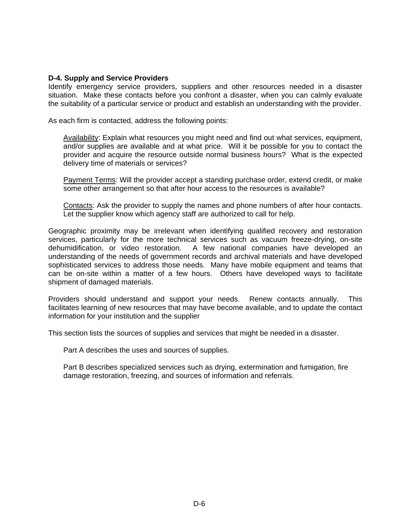### **D-4. Supply and Service Providers**

Identify emergency service providers, suppliers and other resources needed in a disaster situation. Make these contacts before you confront a disaster, when you can calmly evaluate the suitability of a particular service or product and establish an understanding with the provider.

As each firm is contacted, address the following points:

Availability: Explain what resources you might need and find out what services, equipment, and/or supplies are available and at what price. Will it be possible for you to contact the provider and acquire the resource outside normal business hours? What is the expected delivery time of materials or services?

Payment Terms: Will the provider accept a standing purchase order, extend credit, or make some other arrangement so that after hour access to the resources is available?

Contacts: Ask the provider to supply the names and phone numbers of after hour contacts. Let the supplier know which agency staff are authorized to call for help.

Geographic proximity may be irrelevant when identifying qualified recovery and restoration services, particularly for the more technical services such as vacuum freeze-drying, on-site dehumidification, or video restoration. A few national companies have developed an understanding of the needs of government records and archival materials and have developed sophisticated services to address those needs. Many have mobile equipment and teams that can be on-site within a matter of a few hours. Others have developed ways to facilitate shipment of damaged materials.

Providers should understand and support your needs. Renew contacts annually. This facilitates learning of new resources that may have become available, and to update the contact information for your institution and the supplier

This section lists the sources of supplies and services that might be needed in a disaster.

Part A describes the uses and sources of supplies.

Part B describes specialized services such as drying, extermination and fumigation, fire damage restoration, freezing, and sources of information and referrals.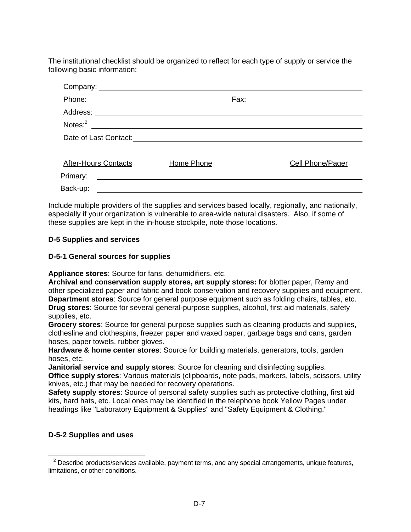The institutional checklist should be organized to reflect for each type of supply or service the following basic information:

| <b>After-Hours Contacts</b> | Home Phone | Cell Phone/Pager |
|-----------------------------|------------|------------------|
| Primary:                    |            |                  |
| Back-up:                    |            |                  |

Include multiple providers of the supplies and services based locally, regionally, and nationally, especially if your organization is vulnerable to area-wide natural disasters. Also, if some of these supplies are kept in the in-house stockpile, note those locations.

# **D-5 Supplies and services**

# **D-5-1 General sources for supplies**

**Appliance stores**: Source for fans, dehumidifiers, etc.

**Archival and conservation supply stores, art supply stores:** for blotter paper, Remy and other specialized paper and fabric and book conservation and recovery supplies and equipment. **Department stores**: Source for general purpose equipment such as folding chairs, tables, etc. **Drug stores**: Source for several general-purpose supplies, alcohol, first aid materials, safety supplies, etc.

**Grocery stores**: Source for general purpose supplies such as cleaning products and supplies, clothesline and clothespins, freezer paper and waxed paper, garbage bags and cans, garden hoses, paper towels, rubber gloves.

**Hardware & home center stores**: Source for building materials, generators, tools, garden hoses, etc.

**Janitorial service and supply stores**: Source for cleaning and disinfecting supplies.

**Office supply stores**: Various materials (clipboards, note pads, markers, labels, scissors, utility knives, etc.) that may be needed for recovery operations.

**Safety supply stores**: Source of personal safety supplies such as protective clothing, first aid kits, hard hats, etc. Local ones may be identified in the telephone book Yellow Pages under headings like "Laboratory Equipment & Supplies" and "Safety Equipment & Clothing."

# **D-5-2 Supplies and uses**

 $\overline{a}$ 

 $<sup>2</sup>$  Describe products/services available, payment terms, and any special arrangements, unique features,</sup> limitations, or other conditions.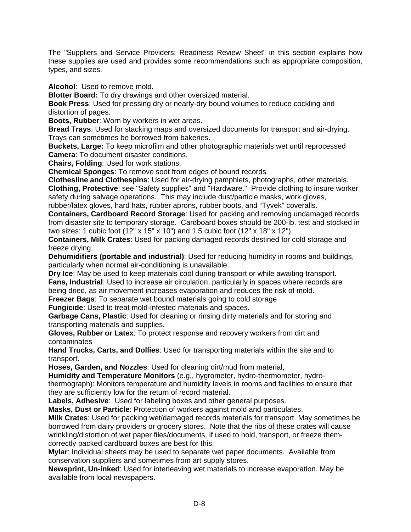The "Suppliers and Service Providers: Readiness Review Sheet" in this section explains how these supplies are used and provides some recommendations such as appropriate composition, types, and sizes.

**Alcohol**: Used to remove mold.

**Blotter Board:** To dry drawings and other oversized material.

**Book Press**: Used for pressing dry or nearly-dry bound volumes to reduce cockling and distortion of pages.

**Boots, Rubber**: Worn by workers in wet areas.

**Bread Trays**: Used for stacking maps and oversized documents for transport and air-drying. Trays can sometimes be borrowed from bakeries.

**Buckets, Large:** To keep microfilm and other photographic materials wet until reprocessed **Camera**: To document disaster conditions.

**Chairs, Folding**: Used for work stations.

**Chemical Sponges**: To remove soot from edges of bound records

**Clothesline and Clothespins**: Used for air-drying pamphlets, photographs, other materials. **Clothing, Protective**: see "Safety supplies" and "Hardware." Provide clothing to insure worker safety during salvage operations. This may include dust/particle masks, work gloves, rubber/latex gloves, hard hats, rubber aprons, rubber boots, and "Tyvek" coveralls.

**Containers, Cardboard Record Storage**: Used for packing and removing undamaged records from disaster site to temporary storage. Cardboard boxes should be 200-lb. test and stocked in two sizes: 1 cubic foot (12" x 15" x 10") and 1.5 cubic foot (12" x 18" x 12").

**Containers, Milk Crates**: Used for packing damaged records destined for cold storage and freeze drying.

**Dehumidifiers (portable and industrial)**: Used for reducing humidity in rooms and buildings, particularly when normal air-conditioning is unavailable.

**Dry Ice**: May be used to keep materials cool during transport or while awaiting transport.

**Fans, Industrial**: Used to increase air circulation, particularly in spaces where records are being dried, as air movement increases evaporation and reduces the risk of mold.

**Freezer Bags**: To separate wet bound materials going to cold storage

**Fungicide**: Used to treat mold-infested materials and spaces.

**Garbage Cans, Plastic**: Used for cleaning or rinsing dirty materials and for storing and transporting materials and supplies.

**Gloves, Rubber or Latex**: To protect response and recovery workers from dirt and contaminates

**Hand Trucks, Carts, and Dollies**: Used for transporting materials within the site and to transport.

**Hoses, Garden, and Nozzles**: Used for cleaning dirt/mud from material,

**Humidity and Temperature Monitors** (e.g., hygrometer, hydro-thermometer, hydrothermograph): Monitors temperature and humidity levels in rooms and facilities to ensure that they are sufficiently low for the return of record material.

**Labels, Adhesive**: Used for labeling boxes and other general purposes.

**Masks, Dust or Particle**: Protection of workers against mold and particulates.

**Milk Crates**: Used for packing wet/damaged records materials for transport. May sometimes be borrowed from dairy providers or grocery stores. Note that the ribs of these crates will cause wrinkling/distortion of wet paper files/documents, if used to hold, transport, or freeze themcorrectly packed cardboard boxes are best for this.

**Mylar**: Individual sheets may be used to separate wet paper documents. Available from conservation suppliers and sometimes from art supply stores.

**Newsprint, Un-inked**: Used for interleaving wet materials to increase evaporation. May be available from local newspapers.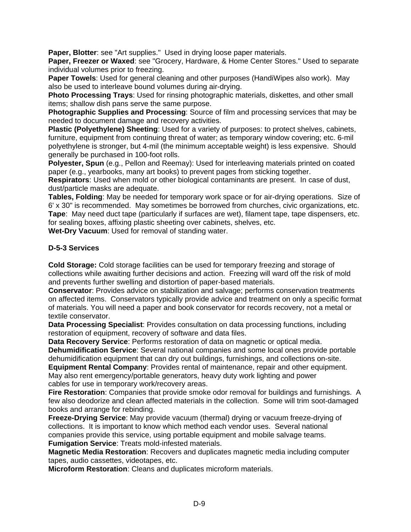**Paper, Blotter**: see "Art supplies." Used in drying loose paper materials.

**Paper, Freezer or Waxed**: see "Grocery, Hardware, & Home Center Stores." Used to separate individual volumes prior to freezing.

**Paper Towels**: Used for general cleaning and other purposes (HandiWipes also work). May also be used to interleave bound volumes during air-drying.

**Photo Processing Trays**: Used for rinsing photographic materials, diskettes, and other small items; shallow dish pans serve the same purpose.

**Photographic Supplies and Processing**: Source of film and processing services that may be needed to document damage and recovery activities.

**Plastic (Polyethylene) Sheeting**: Used for a variety of purposes: to protect shelves, cabinets, furniture, equipment from continuing threat of water; as temporary window covering; etc. 6-mil polyethylene is stronger, but 4-mil (the minimum acceptable weight) is less expensive. Should generally be purchased in 100-foot rolls.

**Polyester, Spun** (e.g., Pellon and Reemay): Used for interleaving materials printed on coated paper (e.g., yearbooks, many art books) to prevent pages from sticking together.

**Respirators**: Used when mold or other biological contaminants are present. In case of dust, dust/particle masks are adequate.

**Tables, Folding**: May be needed for temporary work space or for air-drying operations. Size of 6' x 30" is recommended. May sometimes be borrowed from churches, civic organizations, etc. **Tape**: May need duct tape (particularly if surfaces are wet), filament tape, tape dispensers, etc. for sealing boxes, affixing plastic sheeting over cabinets, shelves, etc.

**Wet-Dry Vacuum**: Used for removal of standing water.

# **D-5-3 Services**

**Cold Storage:** Cold storage facilities can be used for temporary freezing and storage of collections while awaiting further decisions and action. Freezing will ward off the risk of mold and prevents further swelling and distortion of paper-based materials.

**Conservator**: Provides advice on stabilization and salvage; performs conservation treatments on affected items. Conservators typically provide advice and treatment on only a specific format of materials. You will need a paper and book conservator for records recovery, not a metal or textile conservator.

**Data Processing Specialist**: Provides consultation on data processing functions, including restoration of equipment, recovery of software and data files.

**Data Recovery Service**: Performs restoration of data on magnetic or optical media. **Dehumidification Service**: Several national companies and some local ones provide portable dehumidification equipment that can dry out buildings, furnishings, and collections on-site. **Equipment Rental Company**: Provides rental of maintenance, repair and other equipment.

May also rent emergency/portable generators, heavy duty work lighting and power cables for use in temporary work/recovery areas.

**Fire Restoration**: Companies that provide smoke odor removal for buildings and furnishings. A few also deodorize and clean affected materials in the collection. Some will trim soot-damaged books and arrange for rebinding.

**Freeze-Drying Service**: May provide vacuum (thermal) drying or vacuum freeze-drying of collections. It is important to know which method each vendor uses. Several national companies provide this service, using portable equipment and mobile salvage teams. **Fumigation Service**: Treats mold-infested materials.

**Magnetic Media Restoration**: Recovers and duplicates magnetic media including computer tapes, audio cassettes, videotapes, etc.

**Microform Restoration**: Cleans and duplicates microform materials.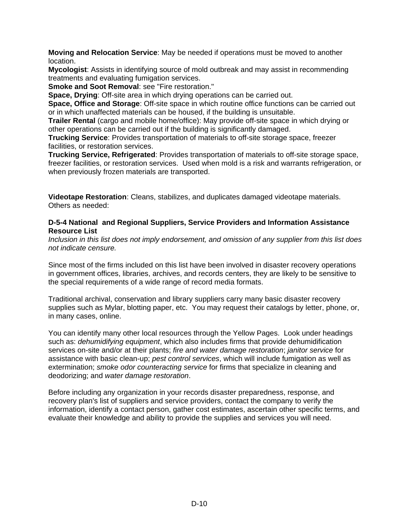**Moving and Relocation Service**: May be needed if operations must be moved to another location.

**Mycologist**: Assists in identifying source of mold outbreak and may assist in recommending treatments and evaluating fumigation services.

**Smoke and Soot Removal**: see "Fire restoration."

**Space, Drying**: Off-site area in which drying operations can be carried out.

**Space, Office and Storage:** Off-site space in which routine office functions can be carried out or in which unaffected materials can be housed, if the building is unsuitable.

**Trailer Rental** (cargo and mobile home/office): May provide off-site space in which drying or other operations can be carried out if the building is significantly damaged.

**Trucking Service**: Provides transportation of materials to off-site storage space, freezer facilities, or restoration services.

**Trucking Service, Refrigerated**: Provides transportation of materials to off-site storage space, freezer facilities, or restoration services. Used when mold is a risk and warrants refrigeration, or when previously frozen materials are transported.

**Videotape Restoration**: Cleans, stabilizes, and duplicates damaged videotape materials. Others as needed:

## **D-5-4 National and Regional Suppliers, Service Providers and Information Assistance Resource List**

*Inclusion in this list does not imply endorsement, and omission of any supplier from this list does not indicate censure.* 

Since most of the firms included on this list have been involved in disaster recovery operations in government offices, libraries, archives, and records centers, they are likely to be sensitive to the special requirements of a wide range of record media formats.

Traditional archival, conservation and library suppliers carry many basic disaster recovery supplies such as Mylar, blotting paper, etc. You may request their catalogs by letter, phone, or, in many cases, online.

You can identify many other local resources through the Yellow Pages. Look under headings such as: *dehumidifying equipment*, which also includes firms that provide dehumidification services on-site and/or at their plants; *fire and water damage restoration*; *janitor service* for assistance with basic clean-up; *pest control services*, which will include fumigation as well as extermination; *smoke odor counteracting service* for firms that specialize in cleaning and deodorizing; and *water damage restoration*.

Before including any organization in your records disaster preparedness, response, and recovery plan's list of suppliers and service providers, contact the company to verify the information, identify a contact person, gather cost estimates, ascertain other specific terms, and evaluate their knowledge and ability to provide the supplies and services you will need.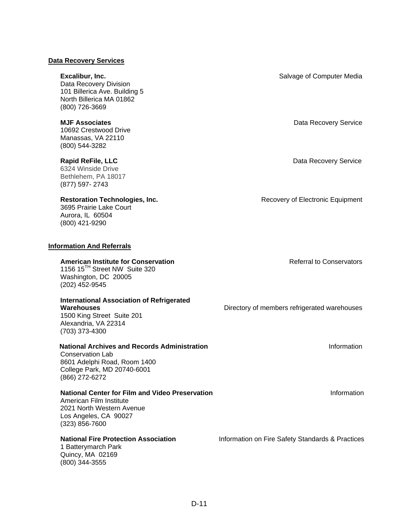### **Data Recovery Services**

Data Recovery Division 101 Billerica Ave. Building 5 North Billerica MA 01862 (800) 726-3669

10692 Crestwood Drive Manassas, VA 22110 (800) 544-3282

6324 Winside Drive Bethlehem, PA 18017 (877) 597- 2743

3695 Prairie Lake Court Aurora, IL 60504 (800) 421-9290

### **Information And Referrals**

### **American Institute for Conservation American Institute for Conservation American Institute for Conservation**

1156 15<sup>TH</sup> Street NW Suite 320 Washington, DC 20005 (202) 452-9545

# **International Association of Refrigerated**

1500 King Street Suite 201 Alexandria, VA 22314 (703) 373-4300

### **National Archives and Records Administration Information** Information

Conservation Lab 8601 Adelphi Road, Room 1400 College Park, MD 20740-6001 (866) 272-6272

### **National Center for Film and Video Preservation Information Information**

American Film Institute 2021 North Western Avenue Los Angeles, CA 90027 (323) 856-7600

1 Batterymarch Park Quincy, MA 02169 (800) 344-3555

**Excalibur, Inc. Excalibur, Inc. Salvage of Computer Media** 

**MJF Associates Data Recovery Service Data Recovery Service** 

**Rapid ReFile, LLC Data Recovery Service** *Rapid Recovery Service Data Recovery Service* 

**Restoration Technologies, Inc. Recovery of Electronic Equipment** 

**Warehouses Directory of members refrigerated warehouses** Directory of members refrigerated warehouses

**National Fire Protection Association Information on Fire Safety Standards & Practices**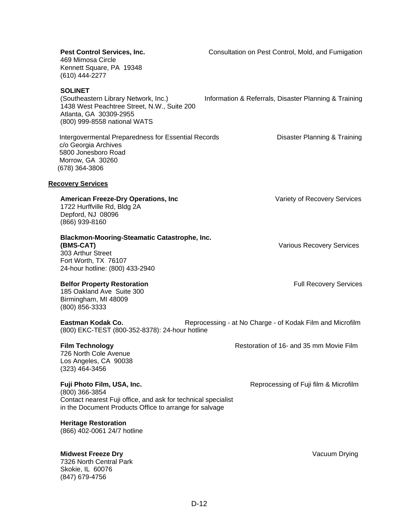| Pest Control Services, Inc.<br>469 Mimosa Circle<br>Kennett Square, PA 19348<br>(610) 444-2277                                                                          | Consultation on Pest Control, Mold, and Fumigation        |
|-------------------------------------------------------------------------------------------------------------------------------------------------------------------------|-----------------------------------------------------------|
| <b>SOLINET</b><br>(Southeastern Library Network, Inc.)<br>1438 West Peachtree Street, N.W., Suite 200<br>Atlanta, GA 30309-2955<br>(800) 999-8558 national WATS         | Information & Referrals, Disaster Planning & Training     |
| Intergovermental Preparedness for Essential Records<br>c/o Georgia Archives<br>5800 Jonesboro Road<br>Morrow, GA 30260<br>(678) 364-3806                                | Disaster Planning & Training                              |
| <b>Recovery Services</b>                                                                                                                                                |                                                           |
| <b>American Freeze-Dry Operations, Inc</b><br>1722 Hurffville Rd, Bldg 2A<br>Depford, NJ 08096<br>(866) 939-8160                                                        | Variety of Recovery Services                              |
| <b>Blackmon-Mooring-Steamatic Catastrophe, Inc.</b><br>(BMS-CAT)<br>303 Arthur Street<br>Fort Worth, TX 76107<br>24-hour hotline: (800) 433-2940                        | <b>Various Recovery Services</b>                          |
| <b>Belfor Property Restoration</b><br>185 Oakland Ave Suite 300<br>Birmingham, MI 48009<br>(800) 856-3333                                                               | <b>Full Recovery Services</b>                             |
| Eastman Kodak Co.<br>(800) EKC-TEST (800-352-8378): 24-hour hotline                                                                                                     | Reprocessing - at No Charge - of Kodak Film and Microfilm |
| <b>Film Technology</b><br>726 North Cole Avenue<br>Los Angeles, CA 90038<br>(323) 464-3456                                                                              | Restoration of 16- and 35 mm Movie Film                   |
| Fuji Photo Film, USA, Inc.<br>(800) 366-3854<br>Contact nearest Fuji office, and ask for technical specialist<br>in the Document Products Office to arrange for salvage | Reprocessing of Fuji film & Microfilm                     |
| <b>Heritage Restoration</b><br>(866) 402-0061 24/7 hotline                                                                                                              |                                                           |

# **Midwest Freeze Dry** Vacuum Drying

7326 North Central Park Skokie, IL 60076 (847) 679-4756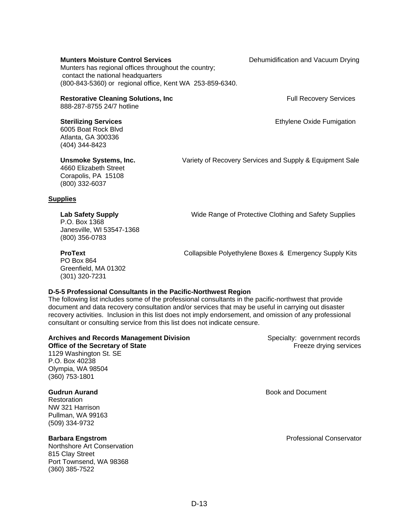### **Munters Moisture Control Services Denumidification and Vacuum Drying**

Munters has regional offices throughout the country; contact the national headquarters (800-843-5360) or regional office, Kent WA 253-859-6340.

### **Restorative Cleaning Solutions, Inc. The Cleaning Solutions, Inc. And American Cleaning Services**

888-287-8755 24/7 hotline

6005 Boat Rock Blvd Atlanta, GA 300336 (404) 344-8423

4660 Elizabeth Street Corapolis, PA 15108 (800) 332-6037

**Unsmoke Systems, Inc.** Variety of Recovery Services and Supply & Equipment Sale

### **Supplies**

## **Lab Safety Supply** Wide Range of Protective Clothing and Safety Supplies

Greenfield, MA 01302 (301) 320-7231

PO Box 864

P.O. Box 1368 Janesville, WI 53547-1368 (800) 356-0783

**ProText Collapsible Polyethylene Boxes & Emergency Supply Kits** 

# **D-5-5 Professional Consultants in the Pacific-Northwest Region**

The following list includes some of the professional consultants in the pacific-northwest that provide document and data recovery consultation and/or services that may be useful in carrying out disaster recovery activities. Inclusion in this list does not imply endorsement, and omission of any professional consultant or consulting service from this list does not indicate censure.

### **Archives and Records Management Division <b>Sexually** Specialty: government records

1129 Washington St. SE P.O. Box 40238 Olympia, WA 98504 (360) 753-1801

Restoration NW 321 Harrison Pullman, WA 99163 (509) 334-9732

Northshore Art Conservation 815 Clay Street Port Townsend, WA 98368 (360) 385-7522

**Office of the Secretary of State Freeze drying services Containers Freeze drying services** 

**Gudrun Aurand** Book and Document

**Barbara Engstrom** Professional Conservator

**Sterilizing Services Ethylene Oxide Fumigation Sterilizing Services**